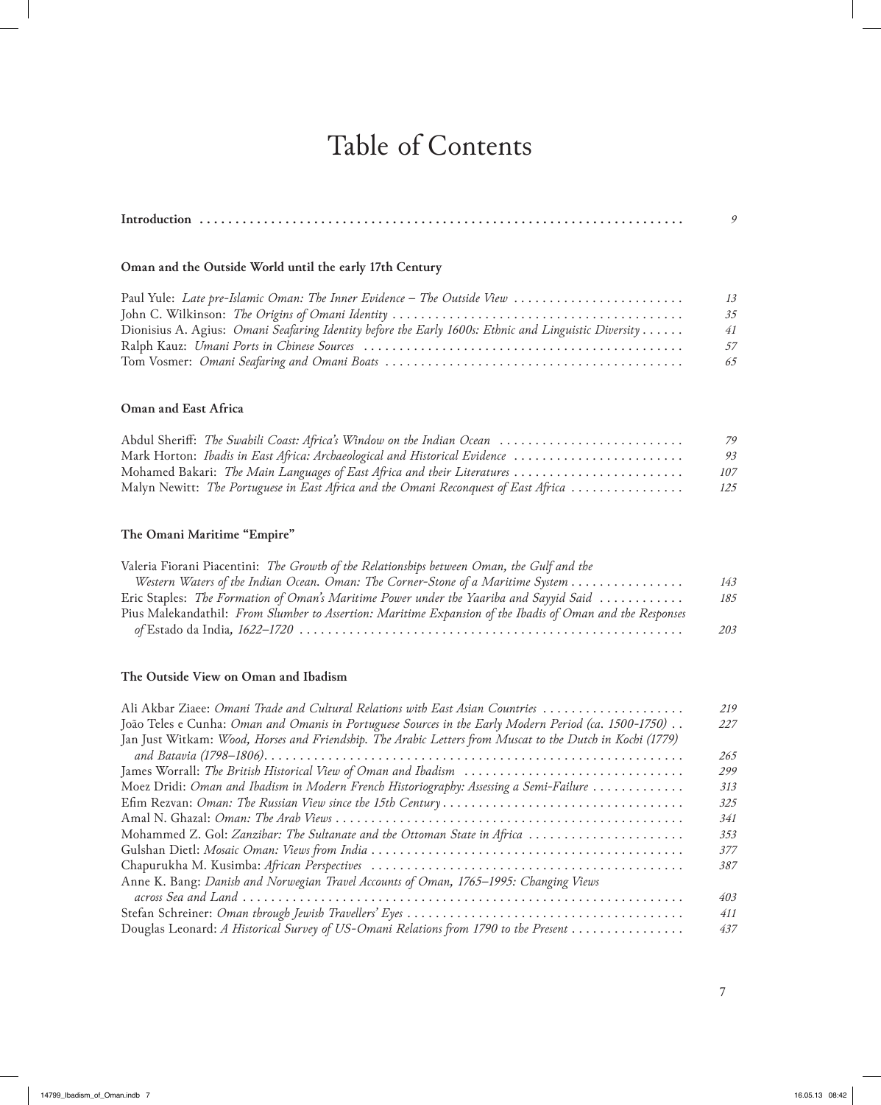# Table of Contents

## **Oman and the Outside World until the early 17th Century**

|                                                                                                      | 13  |
|------------------------------------------------------------------------------------------------------|-----|
|                                                                                                      | 35  |
| Dionisius A. Agius: Omani Seafaring Identity before the Early 1600s: Ethnic and Linguistic Diversity | 41  |
|                                                                                                      | .57 |
|                                                                                                      | 65  |

### **Oman and East Africa**

| Abdul Sheriff: The Swahili Coast: Africa's Window on the Indian Ocean               | 79  |
|-------------------------------------------------------------------------------------|-----|
| Mark Horton: Ibadis in East Africa: Archaeological and Historical Evidence          | 93  |
| Mohamed Bakari: The Main Languages of East Africa and their Literatures             | 107 |
| Malyn Newitt: The Portuguese in East Africa and the Omani Reconquest of East Africa | 125 |

## **The Omani Maritime "Empire"**

| Valeria Fiorani Piacentini: The Growth of the Relationships between Oman, the Gulf and the                |     |
|-----------------------------------------------------------------------------------------------------------|-----|
| Western Waters of the Indian Ocean. Oman: The Corner-Stone of a Maritime System                           | 143 |
| Eric Staples: The Formation of Oman's Maritime Power under the Yaariba and Sayyid Said                    | 185 |
| Pius Malekandathil: From Slumber to Assertion: Maritime Expansion of the Ibadis of Oman and the Responses |     |
|                                                                                                           | 203 |

#### **The Outside View on Oman and Ibadism**

| Ali Akbar Ziaee: Omani Trade and Cultural Relations with East Asian Countries                             | 219 |
|-----------------------------------------------------------------------------------------------------------|-----|
| João Teles e Cunha: Oman and Omanis in Portuguese Sources in the Early Modern Period (ca. 1500-1750).     | 227 |
| Jan Just Witkam: Wood, Horses and Friendship. The Arabic Letters from Muscat to the Dutch in Kochi (1779) |     |
|                                                                                                           | 265 |
|                                                                                                           | 299 |
| Moez Dridi: Oman and Ibadism in Modern French Historiography: Assessing a Semi-Failure                    | 313 |
|                                                                                                           | 325 |
|                                                                                                           | 341 |
| Mohammed Z. Gol: Zanzibar: The Sultanate and the Ottoman State in Africa                                  | 353 |
|                                                                                                           | 377 |
|                                                                                                           | 387 |
| Anne K. Bang: Danish and Norwegian Travel Accounts of Oman, 1765-1995: Changing Views                     |     |
|                                                                                                           | 403 |
|                                                                                                           | 411 |
| Douglas Leonard: A Historical Survey of US-Omani Relations from 1790 to the Present                       | 437 |